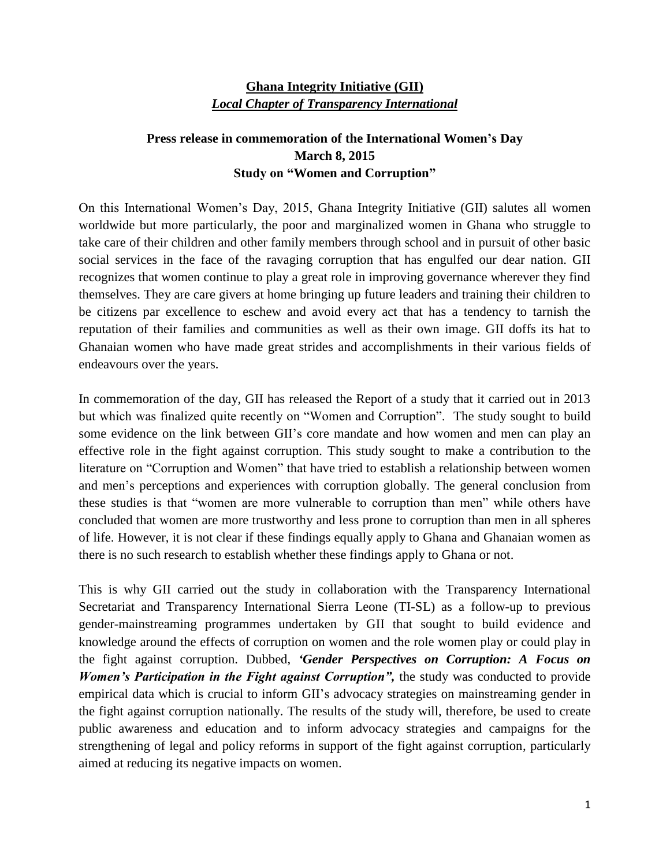## **Ghana Integrity Initiative (GII)** *Local Chapter of Transparency International*

## **Press release in commemoration of the International Women's Day March 8, 2015 Study on "Women and Corruption"**

On this International Women's Day, 2015, Ghana Integrity Initiative (GII) salutes all women worldwide but more particularly, the poor and marginalized women in Ghana who struggle to take care of their children and other family members through school and in pursuit of other basic social services in the face of the ravaging corruption that has engulfed our dear nation. GII recognizes that women continue to play a great role in improving governance wherever they find themselves. They are care givers at home bringing up future leaders and training their children to be citizens par excellence to eschew and avoid every act that has a tendency to tarnish the reputation of their families and communities as well as their own image. GII doffs its hat to Ghanaian women who have made great strides and accomplishments in their various fields of endeavours over the years.

In commemoration of the day, GII has released the Report of a study that it carried out in 2013 but which was finalized quite recently on "Women and Corruption". The study sought to build some evidence on the link between GII's core mandate and how women and men can play an effective role in the fight against corruption. This study sought to make a contribution to the literature on "Corruption and Women" that have tried to establish a relationship between women and men's perceptions and experiences with corruption globally. The general conclusion from these studies is that "women are more vulnerable to corruption than men" while others have concluded that women are more trustworthy and less prone to corruption than men in all spheres of life. However, it is not clear if these findings equally apply to Ghana and Ghanaian women as there is no such research to establish whether these findings apply to Ghana or not.

This is why GII carried out the study in collaboration with the Transparency International Secretariat and Transparency International Sierra Leone (TI-SL) as a follow-up to previous gender-mainstreaming programmes undertaken by GII that sought to build evidence and knowledge around the effects of corruption on women and the role women play or could play in the fight against corruption. Dubbed, *'Gender Perspectives on Corruption: A Focus on Women's Participation in the Fight against Corruption",* the study was conducted to provide empirical data which is crucial to inform GII's advocacy strategies on mainstreaming gender in the fight against corruption nationally. The results of the study will, therefore, be used to create public awareness and education and to inform advocacy strategies and campaigns for the strengthening of legal and policy reforms in support of the fight against corruption, particularly aimed at reducing its negative impacts on women.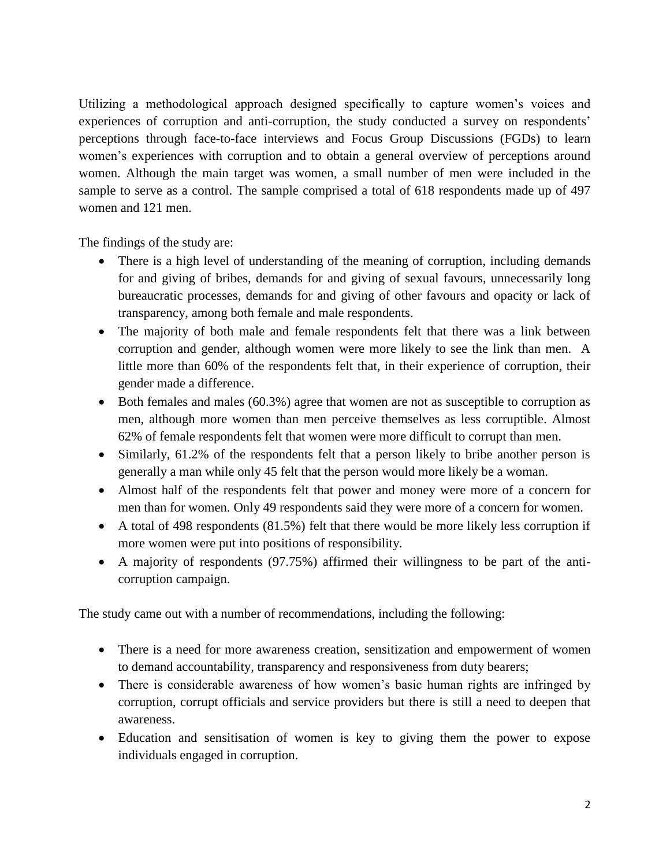Utilizing a methodological approach designed specifically to capture women's voices and experiences of corruption and anti-corruption, the study conducted a survey on respondents' perceptions through face-to-face interviews and Focus Group Discussions (FGDs) to learn women's experiences with corruption and to obtain a general overview of perceptions around women. Although the main target was women, a small number of men were included in the sample to serve as a control. The sample comprised a total of 618 respondents made up of 497 women and 121 men.

The findings of the study are:

- There is a high level of understanding of the meaning of corruption, including demands for and giving of bribes, demands for and giving of sexual favours, unnecessarily long bureaucratic processes, demands for and giving of other favours and opacity or lack of transparency, among both female and male respondents.
- The majority of both male and female respondents felt that there was a link between corruption and gender, although women were more likely to see the link than men. A little more than 60% of the respondents felt that, in their experience of corruption, their gender made a difference.
- Both females and males (60.3%) agree that women are not as susceptible to corruption as men, although more women than men perceive themselves as less corruptible. Almost 62% of female respondents felt that women were more difficult to corrupt than men.
- Similarly, 61.2% of the respondents felt that a person likely to bribe another person is generally a man while only 45 felt that the person would more likely be a woman.
- Almost half of the respondents felt that power and money were more of a concern for men than for women. Only 49 respondents said they were more of a concern for women.
- A total of 498 respondents (81.5%) felt that there would be more likely less corruption if more women were put into positions of responsibility.
- A majority of respondents (97.75%) affirmed their willingness to be part of the anticorruption campaign.

The study came out with a number of recommendations, including the following:

- There is a need for more awareness creation, sensitization and empowerment of women to demand accountability, transparency and responsiveness from duty bearers;
- There is considerable awareness of how women's basic human rights are infringed by corruption, corrupt officials and service providers but there is still a need to deepen that awareness.
- Education and sensitisation of women is key to giving them the power to expose individuals engaged in corruption.